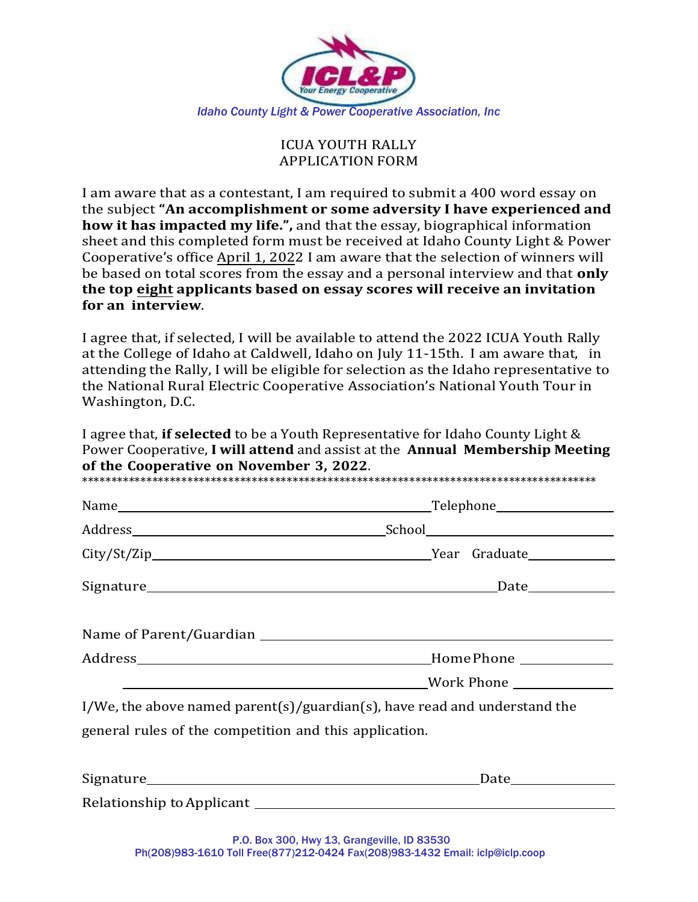

## ICUA YOUTH RALLY APPLICATION FORM

I am aware that as a contestant, I am required to submit a 400 word essay on the subject **"An accomplishment or some adversity I have experienced and how it has impacted my life.",** and that the essay, biographical information sheet and this completed form must be received at Idaho County Light & Power Cooperative's office April 1, 2022 I am aware that the selection of winners will be based on total scores from the essay and a personal interview and that **only the top eight applicants based on essay scores will receive an invitation for an interview**.

I agree that, if selected, I will be available to attend the 2022 ICUA Youth Rally at the College of Idaho at Caldwell, Idaho on July 11-15th. I am aware that, in attending the Rally, I will be eligible for selection as the Idaho representative to the National Rural Electric Cooperative Association's National Youth Tour in Washington, D.C.

I agree that, **if selected** to be a Youth Representative for Idaho County Light & Power Cooperative, **I will attend** and assist at the **Annual Membership Meeting of the Cooperative on November 3, 2022**.

|                                                                           | _Telephone____________________ |
|---------------------------------------------------------------------------|--------------------------------|
|                                                                           |                                |
|                                                                           |                                |
|                                                                           | _Date_____________             |
|                                                                           |                                |
|                                                                           |                                |
|                                                                           |                                |
|                                                                           | Mork Phone                     |
| I/We, the above named parent(s)/guardian(s), have read and understand the |                                |
| general rules of the competition and this application.                    |                                |
|                                                                           |                                |
|                                                                           |                                |
|                                                                           |                                |

Relationship to Applicant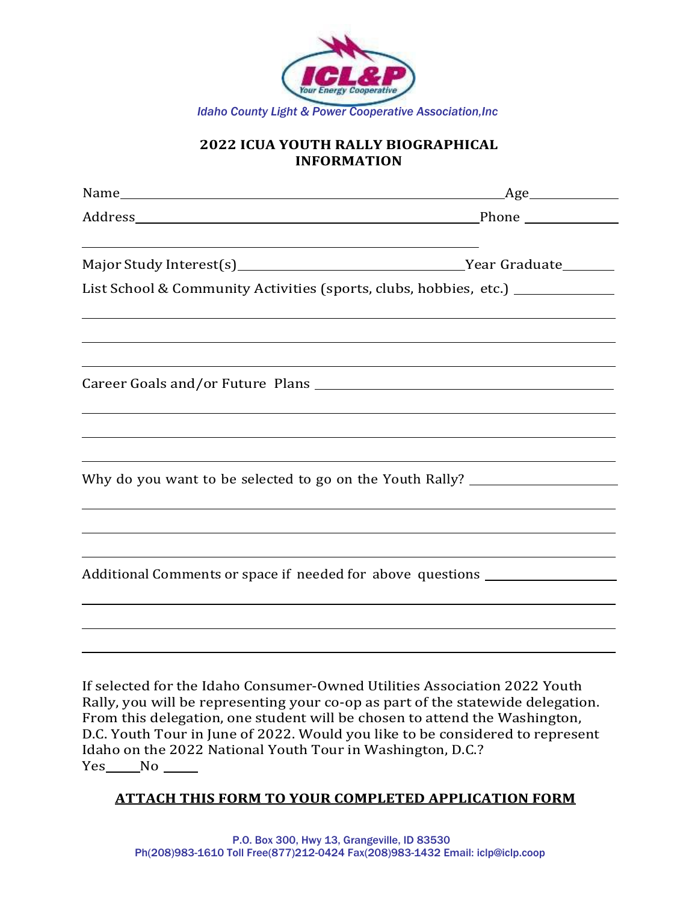

## **2022 ICUA YOUTH RALLY BIOGRAPHICAL INFORMATION**

| List School & Community Activities (sports, clubs, hobbies, etc.) ______________                                                                                                                                                           |
|--------------------------------------------------------------------------------------------------------------------------------------------------------------------------------------------------------------------------------------------|
|                                                                                                                                                                                                                                            |
|                                                                                                                                                                                                                                            |
|                                                                                                                                                                                                                                            |
|                                                                                                                                                                                                                                            |
|                                                                                                                                                                                                                                            |
|                                                                                                                                                                                                                                            |
| Why do you want to be selected to go on the Youth Rally? _______________________                                                                                                                                                           |
|                                                                                                                                                                                                                                            |
| Additional Comments or space if needed for above questions _____________________                                                                                                                                                           |
|                                                                                                                                                                                                                                            |
| If selected for the Idaho Consumer-Owned Utilities Association 2022 Youth<br>Rally, you will be representing your co-op as part of the statewide delegation.<br>From this delegation, one student will be chosen to attend the Washington, |
|                                                                                                                                                                                                                                            |

D.C. Youth Tour in June of 2022. Would you like to be considered to represent Idaho on the 2022 National Youth Tour in Washington, D.C.? Yes\_\_\_\_No \_\_

## **ATTACH THIS FORM TO YOUR COMPLETED APPLICATION FORM**